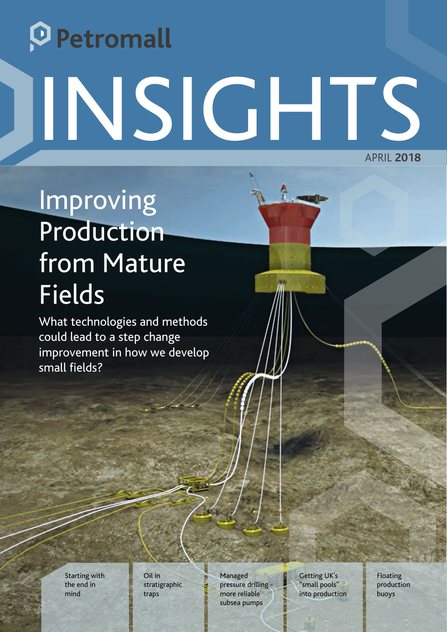# Petromall INSIGHTS APRIL **2018**

## Improving Production from Mature Fields

What technologies and methods could lead to a step change improvement in how we develop small fields?

> Starting with the end in mind

Oil in stratigraphic traps

Managed pressure drilling more reliable subsea pumps

Getting UK's "small pools" into production Floating production buoys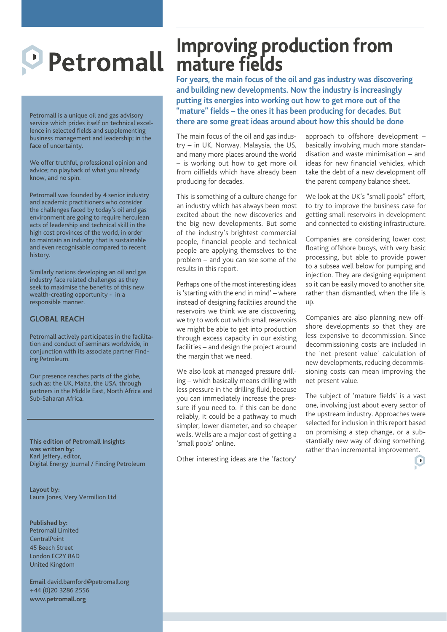## <sup>D</sup> Petromall

Petromall is a unique oil and gas advisory service which prides itself on technical excellence in selected fields and supplementing business management and leadership; in the face of uncertainty.

We offer truthful, professional opinion and advice; no playback of what you already know, and no spin.

Petromall was founded by 4 senior industry and academic practitioners who consider the challenges faced by today's oil and gas environment are going to require herculean acts of leadership and technical skill in the high cost provinces of the world, in order to maintain an industry that is sustainable and even recognisable compared to recent history.

Similarly nations developing an oil and gas industry face related challenges as they seek to maximise the benefits of this new wealth-creating opportunity - in a responsible manner.

#### **GLOBAL REACH**

Petromall actively participates in the facilitation and conduct of seminars worldwide, in conjunction with its associate partner Finding Petroleum.

Our presence reaches parts of the globe, such as: the UK, Malta, the USA, through partners in the Middle East, North Africa and Sub-Saharan Africa.

**This edition of Petromall Insights was written by:** Karl Jeffery, editor, Digital Energy Journal / Finding Petroleum

**Layout by:** Laura Jones, Very Vermilion Ltd

#### **Published by:**

Petromall Limited CentralPoint 45 Beech Street London EC2Y 8AD United Kingdom

**Email** david.bamford@petromall.org +44 (0)20 3286 2556 **www.petromall.org**

## **Improving production from mature fields**

**For years, the main focus of the oil and gas industry was discovering and building new developments. Now the industry is increasingly putting its energies into working out how to get more out of the "mature" fields – the ones it has been producing for decades. But there are some great ideas around about how this should be done** 

The main focus of the oil and gas industry – in UK, Norway, Malaysia, the US, and many more places around the world – is working out how to get more oil from oilfields which have already been producing for decades.

This is something of a culture change for an industry which has always been most excited about the new discoveries and the big new developments. But some of the industry's brightest commercial people, financial people and technical people are applying themselves to the problem – and you can see some of the results in this report.

Perhaps one of the most interesting ideas is 'starting with the end in mind' – where instead of designing faciltiies around the reservoirs we think we are discovering, we try to work out which small reservoirs we might be able to get into production through excess capacity in our existing facilities – and design the project around the margin that we need.

We also look at managed pressure drilling – which basically means drilling with less pressure in the drilling fluid, because you can immediately increase the pressure if you need to. If this can be done reliably, it could be a pathway to much simpler, lower diameter, and so cheaper wells. Wells are a major cost of getting a 'small pools' online.

Other interesting ideas are the 'factory'

approach to offshore development – basically involving much more standardisation and waste minimisation – and ideas for new financial vehicles, which take the debt of a new development off the parent company balance sheet.

We look at the UK's "small pools" effort, to try to improve the business case for getting small reservoirs in development and connected to existing infrastructure.

Companies are considering lower cost floating offshore buoys, with very basic processing, but able to provide power to a subsea well below for pumping and injection. They are designing equipment so it can be easily moved to another site, rather than dismantled, when the life is up.

Companies are also planning new offshore developments so that they are less expensive to decommission. Since decommissioning costs are included in the 'net present value' calculation of new developments, reducing decommissioning costs can mean improving the net present value.

The subject of 'mature fields' is a vast one, involving just about every sector of the upstream industry. Approaches were selected for inclusion in this report based on promising a step change, or a substantially new way of doing something, rather than incremental improvement.

 $\bigcup$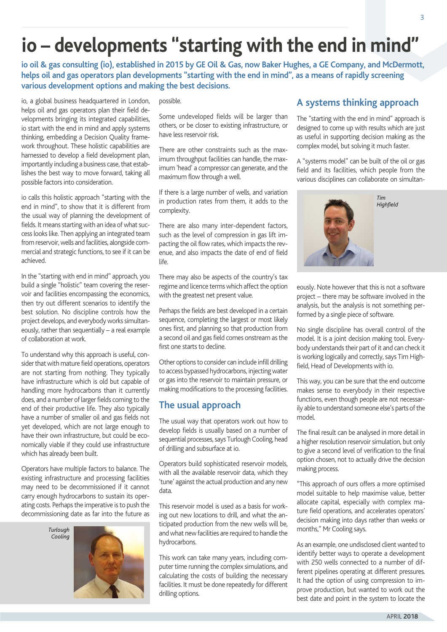## **io – developments "starting with the end in mind"**

**io oil & gas consulting (io), established in 2015 by GE Oil & Gas, now Baker Hughes, a GE Company, and McDermott, helps oil and gas operators plan developments "starting with the end in mind", as a means of rapidly screening various development options and making the best decisions.**

io, a global business headquartered in London, helps oil and gas operators plan their field developments bringing its integrated capabilities, io start with the end in mind and apply systems thinking, embedding a Decision Quality framework throughout. These holistic capabilities are harnessed to develop a field development plan, importantly including a business case, that establishes the best way to move forward, taking all possible factors into consideration.

io calls this holistic approach "starting with the end in mind", to show that it is different from the usual way of planning the development of fields. It means starting with an idea of what success looks like. Then applying an integrated team from reservoir, wells and facilities, alongside commercial and strategic functions, to see if it can be achieved.

In the "starting with end in mind" approach, you build a single "holistic" team covering the reservoir and facilities encompassing the economics, then try out different scenarios to identify the best solution. No discipline controls how the project develops, and everybody works simultaneously, rather than sequentially – a real example of collaboration at work.

To understand why this approach is useful, consider that with mature field operations, operators are not starting from nothing. They typically have infrastructure which is old but capable of handling more hydrocarbons than it currently does, and a number of larger fields coming to the end of their productive life. They also typically have a number of smaller oil and gas fields not yet developed, which are not large enough to have their own infrastructure, but could be economically viable if they could use infrastructure which has already been built.

Operators have multiple factors to balance. The existing infrastructure and processing facilities may need to be decommissioned if it cannot carry enough hydrocarbons to sustain its operating costs. Perhaps the imperative is to push the decommissioning date as far into the future as

> *Turlough Cooling*



possible.

Some undeveloped fields will be larger than others, or be closer to existing infrastructure, or have less reservoir risk.

There are other constraints such as the maximum throughput facilities can handle, the maximum 'head' a compressor can generate, and the maximum flow through a well.

If there is a large number of wells, and variation in production rates from them, it adds to the complexity.

There are also many inter-dependent factors, such as the level of compression in gas lift impacting the oil flow rates, which impacts the revenue, and also impacts the date of end of field life.

There may also be aspects of the country's tax regime and licence terms which affect the option with the greatest net present value.

Perhaps the fields are best developed in a certain sequence, completing the largest or most likely ones first, and planning so that production from a second oil and gas field comes onstream as the first one starts to decline.

Other options to consider can include infill drilling to access bypassed hydrocarbons, injecting water or gas into the reservoir to maintain pressure, or making modifications to the processing facilities.

#### **The usual approach**

The usual way that operators work out how to develop fields is usually based on a number of sequential processes, says Turlough Cooling, head of drilling and subsurface at io.

Operators build sophisticated reservoir models, with all the available reservoir data, which they 'tune' against the actual production and any new data.

This reservoir model is used as a basis for working out new locations to drill, and what the anticipated production from the new wells will be, and what new facilities are required to handle the hydrocarbons.

This work can take many years, including computer time running the complex simulations, and calculating the costs of building the necessary facilities. It must be done repeatedly for different drilling options.

#### **A systems thinking approach**

The "starting with the end in mind" approach is designed to come up with results which are just as useful in supporting decision making as the complex model, but solving it much faster.

A "systems model" can be built of the oil or gas field and its facilities, which people from the various disciplines can collaborate on simultan-



*Highfield*

eously. Note however that this is not a software project – there may be software involved in the analysis, but the analysis is not something performed by a single piece of software.

No single discipline has overall control of the model. It is a joint decision making tool. Everybody understands their part of it and can check it is working logically and correctly, says Tim Highfield, Head of Developments with io.

This way, you can be sure that the end outcome makes sense to everybody in their respective functions, even though people are not necessarily able to understand someone else's parts of the model.

The final result can be analysed in more detail in a higher resolution reservoir simulation, but only to give a second level of verification to the final option chosen, not to actually drive the decision making process.

"This approach of ours offers a more optimised model suitable to help maximise value, better allocate capital, especially with complex mature field operations, and accelerates operators' decision making into days rather than weeks or months," Mr Cooling says.

As an example, one undisclosed client wanted to identify better ways to operate a development with 250 wells connected to a number of different pipelines operating at different pressures. It had the option of using compression to improve production, but wanted to work out the best date and point in the system to locate the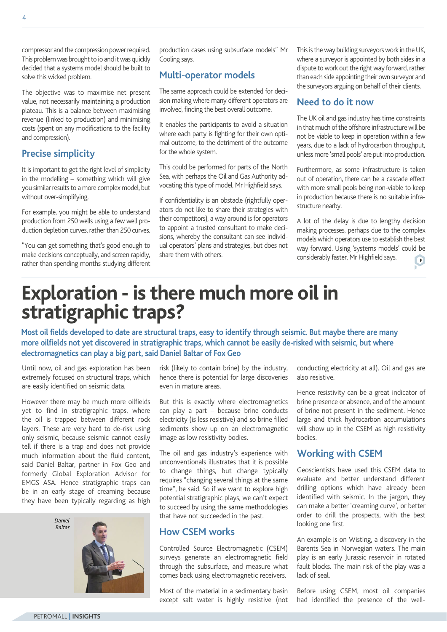compressor and the compression power required. This problem was brought to io and it was quickly decided that a systems model should be built to solve this wicked problem.

The objective was to maximise net present value, not necessarily maintaining a production plateau. This is a balance between maximising revenue (linked to production) and minimising costs (spent on any modifications to the facility and compression).

#### **Precise simplicity**

It is important to get the right level of simplicity in the modelling – something which will give you similar results to a more complex model, but without over-simplifying.

For example, you might be able to understand production from 250 wells using a few well production depletion curves, rather than 250 curves.

"You can get something that's good enough to make decisions conceptually, and screen rapidly, rather than spending months studying different production cases using subsurface models" Mr Cooling says.

#### **Multi-operator models**

The same approach could be extended for decision making where many different operators are involved, finding the best overall outcome.

It enables the participants to avoid a situation where each party is fighting for their own optimal outcome, to the detriment of the outcome for the whole system.

This could be performed for parts of the North Sea, with perhaps the Oil and Gas Authority advocating this type of model, Mr Highfield says.

If confidentiality is an obstacle (rightfully operators do not like to share their strategies with their competitors), a way around is for operators to appoint a trusted consultant to make decisions, whereby the consultant can see individual operators' plans and strategies, but does not share them with others.

This is the way building surveyors work in the UK, where a surveyor is appointed by both sides in a dispute to work out the right way forward, rather than each side appointing their own surveyor and the surveyors arguing on behalf of their clients.

#### **Need to do it now**

The UK oil and gas industry has time constraints in that much of the offshore infrastructure will be not be viable to keep in operation within a few years, due to a lack of hydrocarbon throughput, unless more 'small pools' are put into production.

Furthermore, as some infrastructure is taken out of operation, there can be a cascade effect with more small pools being non-viable to keep in production because there is no suitable infrastructure nearby.

A lot of the delay is due to lengthy decision making processes, perhaps due to the complex models which operators use to establish the best way forward. Using 'systems models' could be considerably faster, Mr Highfield says.  $\begin{array}{c} \hline \rule{0pt}{2ex} \rule{0pt}{2ex} \end{array}$ 

## **Exploration - is there much more oil in stratigraphic traps?**

**Most oil fields developed to date are structural traps, easy to identify through seismic. But maybe there are many more oilfields not yet discovered in stratigraphic traps, which cannot be easily de-risked with seismic, but where electromagnetics can play a big part, said Daniel Baltar of Fox Geo**

Until now, oil and gas exploration has been extremely focused on structural traps, which are easily identified on seismic data.

However there may be much more oilfields yet to find in stratigraphic traps, where the oil is trapped between different rock layers. These are very hard to de-risk using only seismic, because seismic cannot easily tell if there is a trap and does not provide much information about the fluid content, said Daniel Baltar, partner in Fox Geo and formerly Global Exploration Advisor for EMGS ASA. Hence stratigraphic traps can be in an early stage of creaming because they have been typically regarding as high



risk (likely to contain brine) by the industry, hence there is potential for large discoveries even in mature areas.

But this is exactly where electromagnetics can play a part – because brine conducts electricity (is less resistive) and so brine filled sediments show up on an electromagnetic image as low resistivity bodies.

The oil and gas industry's experience with unconventionals illustrates that it is possible to change things, but change typically requires "changing several things at the same time", he said. So if we want to explore high potential stratigraphic plays, we can't expect to succeed by using the same methodologies that have not succeeded in the past.

#### **How CSEM works**

Controlled Source Electromagnetic (CSEM) surveys generate an electromagnetic field through the subsurface, and measure what comes back using electromagnetic receivers.

Most of the material in a sedimentary basin except salt water is highly resistive (not conducting electricity at all). Oil and gas are also resistive.

Hence resistivity can be a great indicator of brine presence or absence, and of the amount of brine not present in the sediment. Hence large and thick hydrocarbon accumulations will show up in the CSEM as high resistivity bodies.

#### **Working with CSEM**

Geoscientists have used this CSEM data to evaluate and better understand different drilling options which have already been identified with seismic. In the jargon, they can make a better 'creaming curve', or better order to drill the prospects, with the best looking one first.

An example is on Wisting, a discovery in the Barents Sea in Norwegian waters. The main play is an early Jurassic reservoir in rotated fault blocks. The main risk of the play was a lack of seal.

Before using CSEM, most oil companies had identified the presence of the well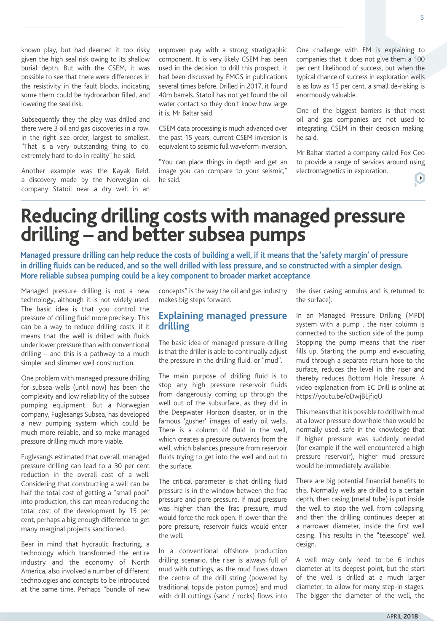known play, but had deemed it too risky given the high seal risk owing to its shallow burial depth. But with the CSEM, it was possible to see that there were differences in the resistivity in the fault blocks, indicating some them could be hydrocarbon filled, and lowering the seal risk.

Subsequently they the play was drilled and there were 3 oil and gas discoveries in a row, in the right size order, largest to smallest. "That is a very outstanding thing to do, extremely hard to do in reality" he said.

Another example was the Kayak field, a discovery made by the Norwegian oil company Statoil near a dry well in an unproven play with a strong stratigraphic component. It is very likely CSEM has been used in the decision to drill this prospect, it had been discussed by EMGS in publications several times before. Drilled in 2017, it found 40m barrels. Statoil has not yet found the oil water contact so they don't know how large it is, Mr Baltar said.

CSEM data processing is much advanced over the past 15 years, current CSEM inversion is equivalent to seismic full waveform inversion.

"You can place things in depth and get an image you can compare to your seismic," he said.

One challenge with EM is explaining to companies that it does not give them a 100 per cent likelihood of success, but when the typical chance of success in exploration wells is as low as 15 per cent, a small de-risking is enormously valuable.

One of the biggest barriers is that most oil and gas companies are not used to integrating CSEM in their decision making, he said.

Mr Baltar started a company called Fox Geo to provide a range of services around using electromagnetics in exploration.

 $\bullet$ 

## **Reducing drilling costs with managed pressure drilling – and better subsea pumps**

**Managed pressure drilling can help reduce the costs of building a well, if it means that the 'safety margin' of pressure in drilling fluids can be reduced, and so the well drilled with less pressure, and so constructed with a simpler design. More reliable subsea pumping could be a key component to broader market acceptance**

Managed pressure drilling is not a new technology, although it is not widely used. The basic idea is that you control the pressure of drilling fluid more precisely. This can be a way to reduce drilling costs, if it means that the well is drilled with fluids under lower pressure than with conventional drilling – and this is a pathway to a much simpler and slimmer well construction.

One problem with managed pressure drilling for subsea wells (until now) has been the complexity and low reliability of the subsea pumping equipment. But a Norwegian company, Fuglesangs Subsea, has developed a new pumping system which could be much more reliable, and so make managed pressure drilling much more viable.

Fuglesangs estimated that overall, managed pressure drilling can lead to a 30 per cent reduction in the overall cost of a well. Considering that constructing a well can be half the total cost of getting a "small pool" into production, this can mean reducing the total cost of the development by 15 per cent, perhaps a big enough difference to get many marginal projects sanctioned.

Bear in mind that hydraulic fracturing, a technology which transformed the entire industry and the economy of North America, also involved a number of different technologies and concepts to be introduced at the same time. Perhaps "bundle of new

concepts" is the way the oil and gas industry makes big steps forward.

#### **Explaining managed pressure drilling**

The basic idea of managed pressure drilling is that the driller is able to continually adjust the pressure in the drilling fluid, or "mud".

The main purpose of drilling fluid is to stop any high pressure reservoir fluids from dangerously coming up through the well out of the subsurface, as they did in the Deepwater Horizon disaster, or in the famous 'gusher' images of early oil wells. There is a column of fluid in the well, which creates a pressure outwards from the well, which balances pressure from reservoir fluids trying to get into the well and out to the surface.

The critical parameter is that drilling fluid pressure is in the window between the frac pressure and pore pressure. If mud pressure was higher than the frac pressure, mud would force the rock open. If lower than the pore pressure, reservoir fluids would enter the well.

In a conventional offshore production drilling scenario, the riser is always full of mud with cuttings, as the mud flows down the centre of the drill string (powered by traditional topside piston pumps) and mud with drill cuttings (sand / rocks) flows into

the riser casing annulus and is returned to the surface).

In an Managed Pressure Drilling (MPD) system with a pump , the riser column is connected to the suction side of the pump. Stopping the pump means that the riser fills up. Starting the pump and evacuating mud through a separate return hose to the surface, reduces the level in the riser and thereby reduces Bottom Hole Pressure. A video explanation from EC Drill is online at https://youtu.be/oDwjBLjfjqU

This means that it is possible to drill with mud at a lower pressure downhole than would be normally used, safe in the knowledge that if higher pressure was suddenly needed (for example if the well encountered a high pressure reservoir), higher mud pressure would be immediately available.

There are big potential financial benefits to this. Normally wells are drilled to a certain depth, then casing (metal tube) is put inside the well to stop the well from collapsing, and then the drilling continues deeper at a narrower diameter, inside the first well casing. This results in the "telescope" well design.

A well may only need to be 6 inches diameter at its deepest point, but the start of the well is drilled at a much larger diameter, to allow for many step-in stages. The bigger the diameter of the well, the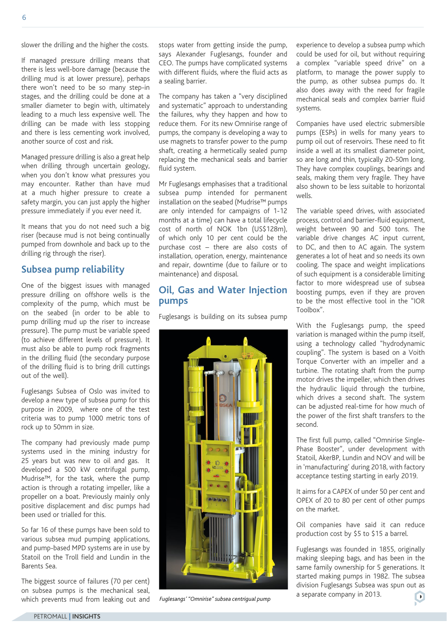slower the drilling and the higher the costs.

If managed pressure drilling means that there is less well-bore damage (because the drilling mud is at lower pressure), perhaps there won't need to be so many step-in stages, and the drilling could be done at a smaller diameter to begin with, ultimately leading to a much less expensive well. The drilling can be made with less stopping and there is less cementing work involved, another source of cost and risk.

Managed pressure drilling is also a great help when drilling through uncertain geology, when you don't know what pressures you may encounter. Rather than have mud at a much higher pressure to create a safety margin, you can just apply the higher pressure immediately if you ever need it.

It means that you do not need such a big riser (because mud is not being continually pumped from downhole and back up to the drilling rig through the riser).

#### **Subsea pump reliability**

One of the biggest issues with managed pressure drilling on offshore wells is the complexity of the pump, which must be on the seabed (in order to be able to pump drilling mud up the riser to increase pressure). The pump must be variable speed (to achieve different levels of pressure). It must also be able to pump rock fragments in the drilling fluid (the secondary purpose of the drilling fluid is to bring drill cuttings out of the well).

Fuglesangs Subsea of Oslo was invited to develop a new type of subsea pump for this purpose in 2009, where one of the test criteria was to pump 1000 metric tons of rock up to 50mm in size.

The company had previously made pump systems used in the mining industry for 25 years but was new to oil and gas. It developed a 500 kW centrifugal pump, Mudrise™, for the task, where the pump action is through a rotating impeller, like a propeller on a boat. Previously mainly only positive displacement and disc pumps had been used or trialled for this.

So far 16 of these pumps have been sold to various subsea mud pumping applications, and pump-based MPD systems are in use by Statoil on the Troll field and Lundin in the Barents Sea.

The biggest source of failures (70 per cent) on subsea pumps is the mechanical seal, which prevents mud from leaking out and stops water from getting inside the pump, says Alexander Fuglesangs, founder and CEO. The pumps have complicated systems with different fluids, where the fluid acts as a sealing barrier.

The company has taken a "very disciplined and systematic" approach to understanding the failures, why they happen and how to reduce them. For its new Omnirise range of pumps, the company is developing a way to use magnets to transfer power to the pump shaft, creating a hermetically sealed pump replacing the mechanical seals and barrier fluid system.

Mr Fuglesangs emphasises that a traditional subsea pump intended for permanent installation on the seabed (Mudrise™ pumps are only intended for campaigns of 1-12 months at a time) can have a total lifecycle cost of north of NOK 1bn (US\$128m), of which only 10 per cent could be the purchase cost – there are also costs of installation, operation, energy, maintenance and repair, downtime (due to failure or to maintenance) and disposal.

#### **Oil, Gas and Water Injection pumps**

Fuglesangs is building on its subsea pump



experience to develop a subsea pump which could be used for oil, but without requiring a complex "variable speed drive" on a platform, to manage the power supply to the pump, as other subsea pumps do. It also does away with the need for fragile mechanical seals and complex barrier fluid systems.

Companies have used electric submersible pumps (ESPs) in wells for many years to pump oil out of reservoirs. These need to fit inside a well at its smallest diameter point, so are long and thin, typically 20-50m long. They have complex couplings, bearings and seals, making them very fragile. They have also shown to be less suitable to horizontal wells.

The variable speed drives, with associated process, control and barrier-fluid equipment, weight between 90 and 500 tons. The variable drive changes AC input current, to DC, and then to AC again. The system generates a lot of heat and so needs its own cooling. The space and weight implications of such equipment is a considerable limiting factor to more widespread use of subsea boosting pumps, even if they are proven to be the most effective tool in the "IOR Toolbox".

With the Fuglesangs pump, the speed variation is managed within the pump itself, using a technology called "hydrodynamic coupling". The system is based on a Voith Torque Converter with an impeller and a turbine. The rotating shaft from the pump motor drives the impeller, which then drives the hydraulic liquid through the turbine, which drives a second shaft. The system can be adjusted real-time for how much of the power of the first shaft transfers to the second.

The first full pump, called "Omnirise Single-Phase Booster", under development with Statoil, AkerBP, Lundin and NOV and will be in 'manufacturing' during 2018, with factory acceptance testing starting in early 2019.

It aims for a CAPEX of under 50 per cent and OPEX of 20 to 80 per cent of other pumps on the market.

Oil companies have said it can reduce production cost by \$5 to \$15 a barrel.

Fuglesangs was founded in 1855, originally making sleeping bags, and has been in the same family ownership for 5 generations. It started making pumps in 1982. The subsea division Fuglesangs Subsea was spun out as a separate company in 2013. *Fuglesangs' "Omnirise" subsea centrigual pump* $\bullet$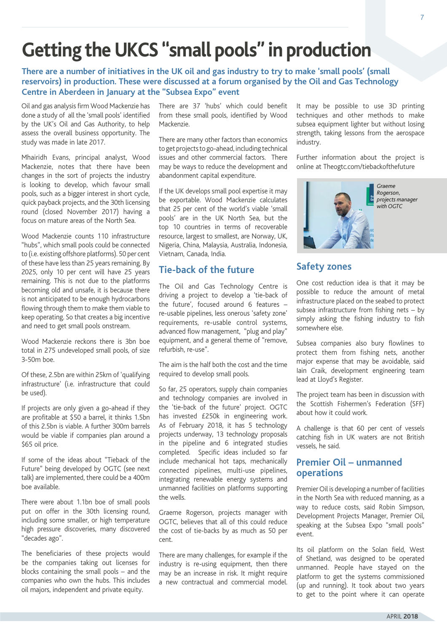## **Getting the UKCS "small pools" in production**

**There are a number of initiatives in the UK oil and gas industry to try to make 'small pools' (small reservoirs) in production. These were discussed at a forum organised by the Oil and Gas Technology Centre in Aberdeen in January at the "Subsea Expo" event**

Oil and gas analysis firm Wood Mackenzie has done a study of all the 'small pools' identified by the UK's Oil and Gas Authority, to help assess the overall business opportunity. The study was made in late 2017.

Mhairidh Evans, principal analyst, Wood Mackenzie, notes that there have been changes in the sort of projects the industry is looking to develop, which favour small pools, such as a bigger interest in short cycle, quick payback projects, and the 30th licensing round (closed November 2017) having a focus on mature areas of the North Sea.

Wood Mackenzie counts 110 infrastructure "hubs", which small pools could be connected to (i.e. existing offshore platforms). 50 per cent of these have less than 25 years remaining. By 2025, only 10 per cent will have 25 years remaining. This is not due to the platforms becoming old and unsafe, it is because there is not anticipated to be enough hydrocarbons flowing through them to make them viable to keep operating. So that creates a big incentive and need to get small pools onstream.

Wood Mackenzie reckons there is 3bn boe total in 275 undeveloped small pools, of size 3-50m boe.

Of these, 2.5bn are within 25km of 'qualifying infrastructure' (i.e. infrastructure that could be used).

If projects are only given a go-ahead if they are profitable at \$50 a barrel, it thinks 1.5bn of this 2.5bn is viable. A further 300m barrels would be viable if companies plan around a \$65 oil price.

If some of the ideas about "Tieback of the Future" being developed by OGTC (see next talk) are implemented, there could be a 400m boe available.

There were about 1.1bn boe of small pools put on offer in the 30th licensing round, including some smaller, or high temperature high pressure discoveries, many discovered "decades ago".

The beneficiaries of these projects would be the companies taking out licenses for blocks containing the small pools – and the companies who own the hubs. This includes oil majors, independent and private equity.

There are 37 'hubs' which could benefit from these small pools, identified by Wood Mackenzie.

There are many other factors than economics to get projects to go-ahead, including technical issues and other commercial factors. There may be ways to reduce the development and abandonment capital expenditure.

If the UK develops small pool expertise it may be exportable. Wood Mackenzie calculates that 25 per cent of the world's viable 'small pools' are in the UK North Sea, but the top 10 countries in terms of recoverable resource, largest to smallest, are Norway, UK, Nigeria, China, Malaysia, Australia, Indonesia, Vietnam, Canada, India.

#### **Tie-back of the future**

The Oil and Gas Technology Centre is driving a project to develop a 'tie-back of the future', focused around 6 features – re-usable pipelines, less onerous 'safety zone' requirements, re-usable control systems, advanced flow management, "plug and play" equipment, and a general theme of "remove, refurbish, re-use".

The aim is the half both the cost and the time required to develop small pools.

So far, 25 operators, supply chain companies and technology companies are involved in the 'tie-back of the future' project. OGTC has invested £250k in engineering work. As of February 2018, it has 5 technology projects underway, 13 technology proposals in the pipeline and 6 integrated studies completed. Specific ideas included so far include mechanical hot taps, mechanically connected pipelines, multi-use pipelines, integrating renewable energy systems and unmanned facilities on platforms supporting the wells.

Graeme Rogerson, projects manager with OGTC, believes that all of this could reduce the cost of tie-backs by as much as 50 per cent.

There are many challenges, for example if the industry is re-using equipment, then there may be an increase in risk. It might require a new contractual and commercial model. It may be possible to use 3D printing techniques and other methods to make subsea equipment lighter but without losing strength, taking lessons from the aerospace industry.

Further information about the project is online at Theogtc.com/tiebackofthefuture



#### **Safety zones**

One cost reduction idea is that it may be possible to reduce the amount of metal infrastructure placed on the seabed to protect subsea infrastructure from fishing nets – by simply asking the fishing industry to fish somewhere else.

Subsea companies also bury flowlines to protect them from fishing nets, another major expense that may be avoidable, said Iain Craik, development engineering team lead at Lloyd's Register.

The project team has been in discussion with the Scottish Fishermen's Federation (SFF) about how it could work.

A challenge is that 60 per cent of vessels catching fish in UK waters are not British vessels, he said.

#### **Premier Oil – unmanned operations**

Premier Oil is developing a number of facilities in the North Sea with reduced manning, as a way to reduce costs, said Robin Simpson, Development Projects Manager, Premier Oil, speaking at the Subsea Expo "small pools" event.

Its oil platform on the Solan field, West of Shetland, was designed to be operated unmanned. People have stayed on the platform to get the systems commissioned (up and running). It took about two years to get to the point where it can operate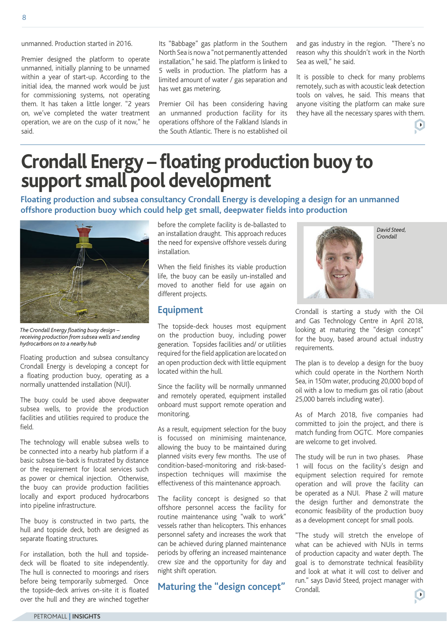unmanned. Production started in 2016.

Premier designed the platform to operate unmanned, initially planning to be unnamed within a year of start-up. According to the initial idea, the manned work would be just for commissioning systems, not operating them. It has taken a little longer. "2 years on, we've completed the water treatment operation, we are on the cusp of it now," he said.

Its "Babbage" gas platform in the Southern North Sea is now a "not permanently attended installation," he said. The platform is linked to 5 wells in production. The platform has a limited amount of water / gas separation and has wet gas metering.

Premier Oil has been considering having an unmanned production facility for its operations offshore of the Falkland Islands in the South Atlantic. There is no established oil and gas industry in the region. "There's no reason why this shouldn't work in the North Sea as well," he said.

It is possible to check for many problems remotely, such as with acoustic leak detection tools on valves, he said. This means that anyone visiting the platform can make sure they have all the necessary spares with them.

## **Crondall Energy – floating production buoy to support small pool development**

**Floating production and subsea consultancy Crondall Energy is developing a design for an unmanned offshore production buoy which could help get small, deepwater fields into production**



*The Crondall Energy floating buoy design – receiving production from subsea wells and sending hydrocarbons on to a nearby hub*

Floating production and subsea consultancy Crondall Energy is developing a concept for a floating production buoy, operating as a normally unattended installation (NUI).

The buoy could be used above deepwater subsea wells, to provide the production facilities and utilities required to produce the field.

The technology will enable subsea wells to be connected into a nearby hub platform if a basic subsea tie-back is frustrated by distance or the requirement for local services such as power or chemical injection. Otherwise, the buoy can provide production facilities locally and export produced hydrocarbons into pipeline infrastructure.

The buoy is constructed in two parts, the hull and topside deck, both are designed as separate floating structures.

For installation, both the hull and topsidedeck will be floated to site independently. The hull is connected to moorings and risers before being temporarily submerged. Once the topside-deck arrives on-site it is floated over the hull and they are winched together

before the complete facility is de-ballasted to an installation draught. This approach reduces the need for expensive offshore vessels during installation.

When the field finishes its viable production life, the buoy can be easily un-installed and moved to another field for use again on different projects.

#### **Equipment**

The topside-deck houses most equipment on the production buoy, including power generation. Topsides facilities and/ or utilities required for the field application are located on an open production deck with little equipment located within the hull.

Since the facility will be normally unmanned and remotely operated, equipment installed onboard must support remote operation and monitoring.

As a result, equipment selection for the buoy is focussed on minimising maintenance, allowing the buoy to be maintained during planned visits every few months. The use of condition-based-monitoring and risk-basedinspection techniques will maximise the effectiveness of this maintenance approach.

The facility concept is designed so that offshore personnel access the facility for routine maintenance using "walk to work" vessels rather than helicopters. This enhances personnel safety and increases the work that can be achieved during planned maintenance periods by offering an increased maintenance crew size and the opportunity for day and night shift operation.

**Maturing the "design concept"**



*David Steed, Crondall*

Crondall is starting a study with the Oil and Gas Technology Centre in April 2018, looking at maturing the "design concept" for the buoy, based around actual industry requirements.

The plan is to develop a design for the buoy which could operate in the Northern North Sea, in 150m water, producing 20,000 bopd of oil with a low to medium gas oil ratio (about 25,000 barrels including water).

As of March 2018, five companies had committed to join the project, and there is match funding from OGTC. More companies are welcome to get involved.

The study will be run in two phases. Phase 1 will focus on the facility's design and equipment selection required for remote operation and will prove the facility can be operated as a NUI. Phase 2 will mature the design further and demonstrate the economic feasibility of the production buoy as a development concept for small pools.

"The study will stretch the envelope of what can be achieved with NUIs in terms of production capacity and water depth. The goal is to demonstrate technical feasibility and look at what it will cost to deliver and run." says David Steed, project manager with Crondall.  $\bullet$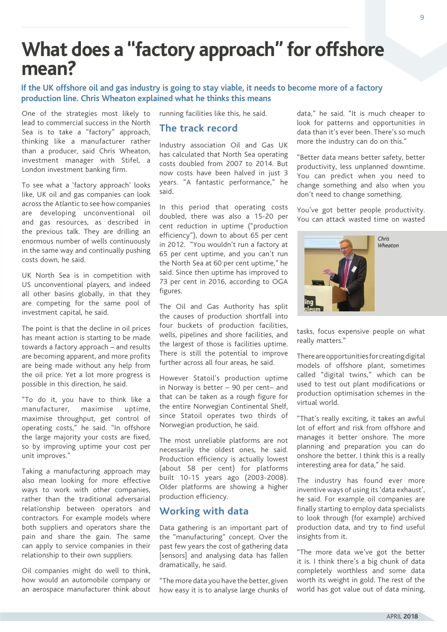## **What does a "factory approach" for offshore mean?**

#### **If the UK offshore oil and gas industry is going to stay viable, it needs to become more of a factory production line. Chris Wheaton explained what he thinks this means**

One of the strategies most likely to lead to commercial success in the North Sea is to take a "factory" approach, thinking like a manufacturer rather than a producer, said Chris Wheaton, investment manager with Stifel, a London investment banking firm.

To see what a 'factory approach' looks like, UK oil and gas companies can look across the Atlantic to see how companies are developing unconventional oil and gas resources, as described in the previous talk. They are drilling an enormous number of wells continuously in the same way and continually pushing costs down, he said.

UK North Sea is in competition with US unconventional players, and indeed all other basins globally, in that they are competing for the same pool of investment capital, he said.

The point is that the decline in oil prices has meant action is starting to be made towards a factory approach – and results are becoming apparent, and more profits are being made without any help from the oil price. Yet a lot more progress is possible in this direction, he said.

"To do it, you have to think like a manufacturer, maximise uptime, maximise throughput, get control of operating costs," he said. "In offshore the large majority your costs are fixed, so by improving uptime your cost per unit improves."

Taking a manufacturing approach may also mean looking for more effective ways to work with other companies, rather than the traditional adversarial relationship between operators and contractors. For example models where both suppliers and operators share the pain and share the gain. The same can apply to service companies in their relationship to their own suppliers.

Oil companies might do well to think, how would an automobile company or an aerospace manufacturer think about running facilities like this, he said.

#### **The track record**

Industry association Oil and Gas UK has calculated that North Sea operating costs doubled from 2007 to 2014. But now costs have been halved in just 3 years. "A fantastic performance," he said.

In this period that operating costs doubled, there was also a 15-20 per cent reduction in uptime ("production efficiency"), down to about 65 per cent in 2012. "You wouldn't run a factory at 65 per cent uptime, and you can't run the North Sea at 60 per cent uptime," he said. Since then uptime has improved to 73 per cent in 2016, according to OGA figures.

The Oil and Gas Authority has split the causes of production shortfall into four buckets of production facilities, wells, pipelines and shore facilities, and the largest of those is facilities uptime. There is still the potential to improve further across all four areas, he said.

However Statoil's production uptime in Norway is better – 90 per cent– and that can be taken as a rough figure for the entire Norwegian Continental Shelf, since Statoil operates two thirds of Norwegian production, he said.

The most unreliable platforms are not necessarily the oldest ones, he said. Production efficiency is actually lowest (about 58 per cent) for platforms built 10-15 years ago (2003-2008). Older platforms are showing a higher production efficiency.

#### **Working with data**

Data gathering is an important part of the "manufacturing" concept. Over the past few years the cost of gathering data [sensors] and analysing data has fallen dramatically, he said.

"The more data you have the better, given how easy it is to analyse large chunks of data," he said. "It is much cheaper to look for patterns and opportunities in data than it's ever been. There's so much more the industry can do on this."

"Better data means better safety, better productivity, less unplanned downtime. You can predict when you need to change something and also when you don't need to change something.

You've got better people productivity. You can attack wasted time on wasted



*Wheaton*

tasks, focus expensive people on what really matters."

There are opportunities for creating digital models of offshore plant, sometimes called "digital twins," which can be used to test out plant modifications or production optimisation schemes in the virtual world.

"That's really exciting, it takes an awful lot of effort and risk from offshore and manages it better onshore. The more planning and preparation you can do onshore the better. I think this is a really interesting area for data," he said.

The industry has found ever more inventive ways of using its 'data exhaust', he said. For example oil companies are finally starting to employ data specialists to look through (for example) archived production data, and try to find useful insights from it.

"The more data we've got the better it is. I think there's a big chunk of data completely worthless and some data worth its weight in gold. The rest of the world has got value out of data mining,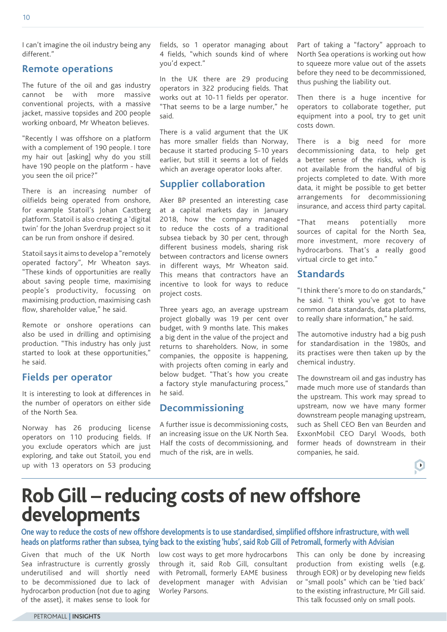I can't imagine the oil industry being any different."

#### **Remote operations**

The future of the oil and gas industry cannot be with more massive conventional projects, with a massive jacket, massive topsides and 200 people working onboard, Mr Wheaton believes.

"Recently I was offshore on a platform with a complement of 190 people. I tore my hair out [asking] why do you still have 190 people on the platform - have you seen the oil price?"

There is an increasing number of oilfields being operated from onshore, for example Statoil's Johan Castberg platform. Statoil is also creating a 'digital twin' for the Johan Sverdrup project so it can be run from onshore if desired.

Statoil says it aims to develop a "remotely operated factory", Mr Wheaton says. "These kinds of opportunities are really about saving people time, maximising people's productivity, focussing on maximising production, maximising cash flow, shareholder value," he said.

Remote or onshore operations can also be used in drilling and optimising production. "This industry has only just started to look at these opportunities," he said.

#### **Fields per operator**

It is interesting to look at differences in the number of operators on either side of the North Sea.

Norway has 26 producing license operators on 110 producing fields. If you exclude operators which are just exploring, and take out Statoil, you end up with 13 operators on 53 producing

fields, so 1 operator managing about 4 fields, "which sounds kind of where you'd expect."

In the UK there are 29 producing operators in 322 producing fields. That works out at 10-11 fields per operator. "That seems to be a large number," he said.

There is a valid argument that the UK has more smaller fields than Norway, because it started producing 5-10 years earlier, but still it seems a lot of fields which an average operator looks after.

#### **Supplier collaboration**

Aker BP presented an interesting case at a capital markets day in January 2018, how the company managed to reduce the costs of a traditional subsea tieback by 30 per cent, through different business models, sharing risk between contractors and license owners in different ways, Mr Wheaton said. This means that contractors have an incentive to look for ways to reduce project costs.

Three years ago, an average upstream project globally was 19 per cent over budget, with 9 months late. This makes a big dent in the value of the project and returns to shareholders. Now, in some companies, the opposite is happening, with projects often coming in early and below budget. "That's how you create a factory style manufacturing process," he said.

#### **Decommissioning**

A further issue is decommissioning costs, an increasing issue on the UK North Sea. Half the costs of decommissioning, and much of the risk, are in wells.

Part of taking a "factory" approach to North Sea operations is working out how to squeeze more value out of the assets before they need to be decommissioned, thus pushing the liability out.

Then there is a huge incentive for operators to collaborate together, put equipment into a pool, try to get unit costs down.

There is a big need for more decommissioning data, to help get a better sense of the risks, which is not available from the handful of big projects completed to date. With more data, it might be possible to get better arrangements for decommissioning insurance, and access third party capital.

"That means potentially more sources of capital for the North Sea, more investment, more recovery of hydrocarbons. That's a really good virtual circle to get into."

#### **Standards**

"I think there's more to do on standards," he said. "I think you've got to have common data standards, data platforms, to really share information," he said.

The automotive industry had a big push for standardisation in the 1980s, and its practises were then taken up by the chemical industry.

The downstream oil and gas industry has made much more use of standards than the upstream. This work may spread to upstream, now we have many former downstream people managing upstream, such as Shell CEO Ben van Beurden and ExxonMobil CEO Daryl Woods, both former heads of downstream in their companies, he said.

 $\boxed{\bullet}$ 

### **Rob Gill – reducing costs of new offshore developments**

**One way to reduce the costs of new offshore developments is to use standardised, simplified offshore infrastructure, with well heads on platforms rather than subsea, tying back to the existing 'hubs', said Rob Gill of Petromall, formerly with Advisian**

Given that much of the UK North Sea infrastructure is currently grossly underutilised and will shortly need to be decommissioned due to lack of hydrocarbon production (not due to aging of the asset), it makes sense to look for

low cost ways to get more hydrocarbons through it, said Rob Gill, consultant with Petromall, formerly EAME business development manager with Advisian Worley Parsons.

This can only be done by increasing production from existing wells (e.g. through EOR) or by developing new fields or "small pools" which can be 'tied back' to the existing infrastructure, Mr Gill said. This talk focussed only on small pools.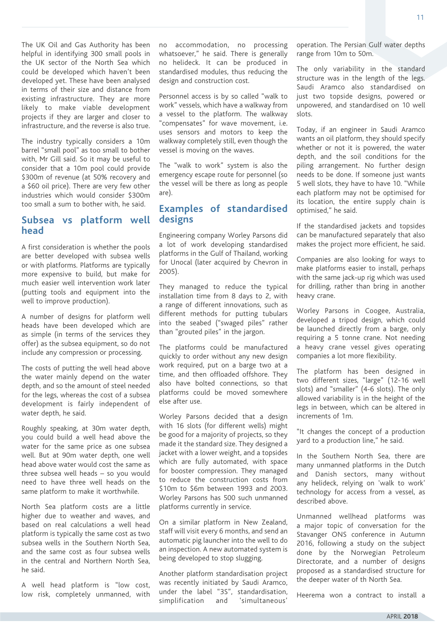The UK Oil and Gas Authority has been helpful in identifying 300 small pools in the UK sector of the North Sea which could be developed which haven't been developed yet. These have been analysed in terms of their size and distance from existing infrastructure. They are more likely to make viable development projects if they are larger and closer to infrastructure, and the reverse is also true.

The industry typically considers a 10m barrel "small pool" as too small to bother with, Mr Gill said. So it may be useful to consider that a 10m pool could provide \$300m of revenue (at 50% recovery and a \$60 oil price). There are very few other industries which would consider \$300m too small a sum to bother with, he said.

#### **Subsea vs platform well head**

A first consideration is whether the pools are better developed with subsea wells or with platforms. Platforms are typically more expensive to build, but make for much easier well intervention work later (putting tools and equipment into the well to improve production).

A number of designs for platform well heads have been developed which are as simple (in terms of the services they offer) as the subsea equipment, so do not include any compression or processing.

The costs of putting the well head above the water mainly depend on the water depth, and so the amount of steel needed for the legs, whereas the cost of a subsea development is fairly independent of water depth, he said.

Roughly speaking, at 30m water depth, you could build a well head above the water for the same price as one subsea well. But at 90m water depth, one well head above water would cost the same as three subsea well heads – so you would need to have three well heads on the same platform to make it worthwhile.

North Sea platform costs are a little higher due to weather and waves, and based on real calculations a well head platform is typically the same cost as two subsea wells in the Southern North Sea, and the same cost as four subsea wells in the central and Northern North Sea, he said.

A well head platform is "low cost, low risk, completely unmanned, with no accommodation, no processing whatsoever," he said. There is generally no helideck. It can be produced in standardised modules, thus reducing the design and construction cost.

Personnel access is by so called "walk to work" vessels, which have a walkway from a vessel to the platform. The walkway "compensates" for wave movement, i.e. uses sensors and motors to keep the walkway completely still, even though the vessel is moving on the waves.

The "walk to work" system is also the emergency escape route for personnel (so the vessel will be there as long as people are).

#### **Examples of standardised designs**

Engineering company Worley Parsons did a lot of work developing standardised platforms in the Gulf of Thailand, working for Unocal (later acquired by Chevron in 2005).

They managed to reduce the typical installation time from 8 days to 2, with a range of different innovations, such as different methods for putting tubulars into the seabed ("swaged piles" rather than "grouted piles" in the jargon.

The platforms could be manufactured quickly to order without any new design work required, put on a barge two at a time, and then offloaded offshore. They also have bolted connections, so that platforms could be moved somewhere else after use.

Worley Parsons decided that a design with 16 slots (for different wells) might be good for a majority of projects, so they made it the standard size. They designed a jacket with a lower weight, and a topsides which are fully automated, with space for booster compression. They managed to reduce the construction costs from \$10m to \$6m between 1993 and 2003. Worley Parsons has 500 such unmanned platforms currently in service.

On a similar platform in New Zealand, staff will visit every 6 months, and send an automatic pig launcher into the well to do an inspection. A new automated system is being developed to stop slugging.

Another platform standardisation project was recently initiated by Saudi Aramco, under the label "3S", standardisation, simplification and 'simultaneous'

operation. The Persian Gulf water depths range from 10m to 50m.

The only variability in the standard structure was in the length of the legs. Saudi Aramco also standardised on just two topside designs, powered or unpowered, and standardised on 10 well slots.

Today, if an engineer in Saudi Aramco wants an oil platform, they should specify whether or not it is powered, the water depth, and the soil conditions for the piling arrangement. No further design needs to be done. If someone just wants 5 well slots, they have to have 10. "While each platform may not be optimised for its location, the entire supply chain is optimised," he said.

If the standardised jackets and topsides can be manufactured separately that also makes the project more efficient, he said.

Companies are also looking for ways to make platforms easier to install, perhaps with the same jack-up rig which was used for drilling, rather than bring in another heavy crane.

Worley Parsons in Coogee, Australia, developed a tripod design, which could be launched directly from a barge, only requiring a 5 tonne crane. Not needing a heavy crane vessel gives operating companies a lot more flexibility.

The platform has been designed in two different sizes, "large" (12-16 well slots) and "smaller" (4-6 slots). The only allowed variability is in the height of the legs in between, which can be altered in increments of 1m.

"It changes the concept of a production yard to a production line," he said.

In the Southern North Sea, there are many unmanned platforms in the Dutch and Danish sectors, many without any helideck, relying on 'walk to work' technology for access from a vessel, as described above.

Unmanned wellhead platforms was a major topic of conversation for the Stavanger ONS conference in Autumn 2016, following a study on the subject done by the Norwegian Petroleum Directorate, and a number of designs proposed as a standardised structure for the deeper water of th North Sea.

Heerema won a contract to install a